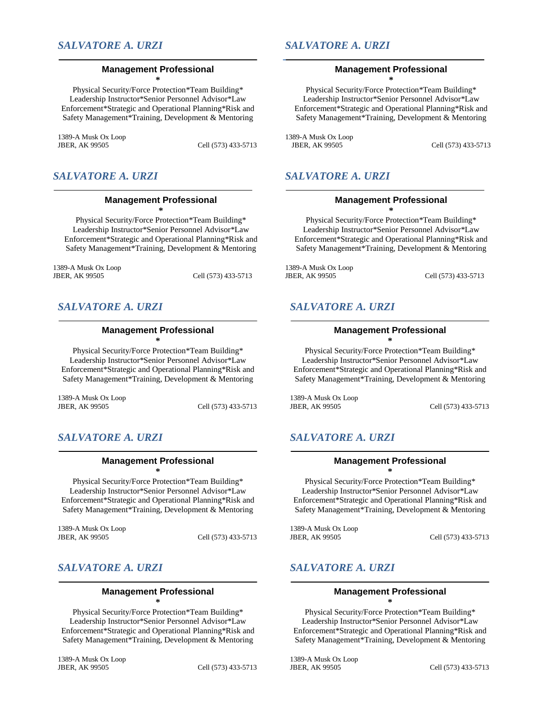## **Management Professional \***

Physical Security/Force Protection\*Team Building\* Leadership Instructor\*Senior Personnel Advisor\*Law Enforcement\*Strategic and Operational Planning\*Risk and Safety Management\*Training, Development & Mentoring

1389-A Musk Ox Loop

Cell (573) 433-5713

## *SALVATORE A. URZI*

### **Management Professional**

**\*** Physical Security/Force Protection\*Team Building\* Leadership Instructor\*Senior Personnel Advisor\*Law Enforcement\*Strategic and Operational Planning\*Risk and Safety Management\*Training, Development & Mentoring

1389-A Musk Ox Loop Cell (573) 433-5713

## *SALVATORE A. URZI*

# **Management Professional**

**\*** Physical Security/Force Protection\*Team Building\* Leadership Instructor\*Senior Personnel Advisor\*Law Enforcement\*Strategic and Operational Planning\*Risk and

1389-A Musk Ox Loop JBER, AK 99505 Cell (573) 433-5713

Safety Management\*Training, Development & Mentoring

## *SALVATORE A. URZI*

## **Management Professional**

**\*** Physical Security/Force Protection\*Team Building\* Leadership Instructor\*Senior Personnel Advisor\*Law Enforcement\*Strategic and Operational Planning\*Risk and Safety Management\*Training, Development & Mentoring

1389-A Musk Ox Loop Cell (573) 433-5713

## *SALVATORE A. URZI*

## **Management Professional \***

Physical Security/Force Protection\*Team Building\* Leadership Instructor\*Senior Personnel Advisor\*Law Enforcement\*Strategic and Operational Planning\*Risk and Safety Management\*Training, Development & Mentoring

1389-A Musk Ox Loop

Cell (573) 433-5713

## *SALVATORE A. URZI*

## **Management Professional \***

Physical Security/Force Protection\*Team Building\* Leadership Instructor\*Senior Personnel Advisor\*Law Enforcement\*Strategic and Operational Planning\*Risk and Safety Management\*Training, Development & Mentoring

1389-A Musk Ox Loop

Cell (573) 433-5713

## *SALVATORE A. URZI*

### **Management Professional**

**\*** Physical Security/Force Protection\*Team Building\* Leadership Instructor\*Senior Personnel Advisor\*Law Enforcement\*Strategic and Operational Planning\*Risk and Safety Management\*Training, Development & Mentoring

1389-A Musk Ox Loop

Cell (573) 433-5713

## *SALVATORE A. URZI*

## **Management Professional**

**\***

Physical Security/Force Protection\*Team Building\* Leadership Instructor\*Senior Personnel Advisor\*Law Enforcement\*Strategic and Operational Planning\*Risk and Safety Management\*Training, Development & Mentoring

1389-A Musk Ox Loop JBER, AK 99505 Cell (573) 433-5713

## *SALVATORE A. URZI*

## **Management Professional \***

Physical Security/Force Protection\*Team Building\* Leadership Instructor\*Senior Personnel Advisor\*Law Enforcement\*Strategic and Operational Planning\*Risk and Safety Management\*Training, Development & Mentoring

1389-A Musk Ox Loop

Cell (573) 433-5713

## *SALVATORE A. URZI*

### **Management Professional**

**\*** Physical Security/Force Protection\*Team Building\* Leadership Instructor\*Senior Personnel Advisor\*Law Enforcement\*Strategic and Operational Planning\*Risk and Safety Management\*Training, Development & Mentoring

1389-A Musk Ox Loop